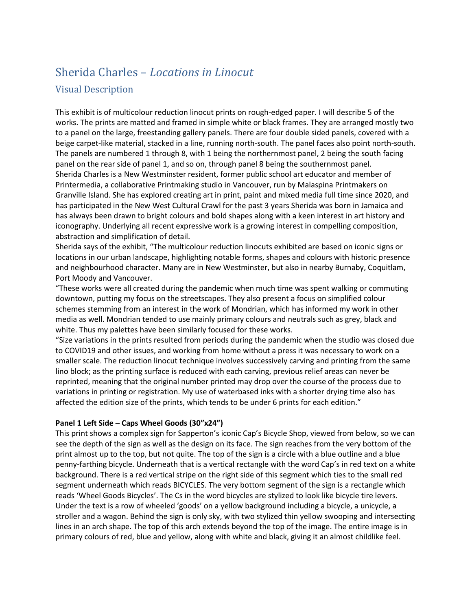# Sherida Charles – *Locations in Linocut* Visual Description

This exhibit is of multicolour reduction linocut prints on rough-edged paper. I will describe 5 of the works. The prints are matted and framed in simple white or black frames. They are arranged mostly two to a panel on the large, freestanding gallery panels. There are four double sided panels, covered with a beige carpet-like material, stacked in a line, running north-south. The panel faces also point north-south. The panels are numbered 1 through 8, with 1 being the northernmost panel, 2 being the south facing panel on the rear side of panel 1, and so on, through panel 8 being the southernmost panel. Sherida Charles is a New Westminster resident, former public school art educator and member of Printermedia, a collaborative Printmaking studio in Vancouver, run by Malaspina Printmakers on Granville Island. She has explored creating art in print, paint and mixed media full time since 2020, and has participated in the New West Cultural Crawl for the past 3 years Sherida was born in Jamaica and has always been drawn to bright colours and bold shapes along with a keen interest in art history and iconography. Underlying all recent expressive work is a growing interest in compelling composition, abstraction and simplification of detail.

Sherida says of the exhibit, "The multicolour reduction linocuts exhibited are based on iconic signs or locations in our urban landscape, highlighting notable forms, shapes and colours with historic presence and neighbourhood character. Many are in New Westminster, but also in nearby Burnaby, Coquitlam, Port Moody and Vancouver.

"These works were all created during the pandemic when much time was spent walking or commuting downtown, putting my focus on the streetscapes. They also present a focus on simplified colour schemes stemming from an interest in the work of Mondrian, which has informed my work in other media as well. Mondrian tended to use mainly primary colours and neutrals such as grey, black and white. Thus my palettes have been similarly focused for these works.

"Size variations in the prints resulted from periods during the pandemic when the studio was closed due to COVID19 and other issues, and working from home without a press it was necessary to work on a smaller scale. The reduction linocut technique involves successively carving and printing from the same lino block; as the printing surface is reduced with each carving, previous relief areas can never be reprinted, meaning that the original number printed may drop over the course of the process due to variations in printing or registration. My use of waterbased inks with a shorter drying time also has affected the edition size of the prints, which tends to be under 6 prints for each edition."

### **Panel 1 Left Side – Caps Wheel Goods (30"x24")**

This print shows a complex sign for Sapperton's iconic Cap's Bicycle Shop, viewed from below, so we can see the depth of the sign as well as the design on its face. The sign reaches from the very bottom of the print almost up to the top, but not quite. The top of the sign is a circle with a blue outline and a blue penny-farthing bicycle. Underneath that is a vertical rectangle with the word Cap's in red text on a white background. There is a red vertical stripe on the right side of this segment which ties to the small red segment underneath which reads BICYCLES. The very bottom segment of the sign is a rectangle which reads 'Wheel Goods Bicycles'. The Cs in the word bicycles are stylized to look like bicycle tire levers. Under the text is a row of wheeled 'goods' on a yellow background including a bicycle, a unicycle, a stroller and a wagon. Behind the sign is only sky, with two stylized thin yellow swooping and intersecting lines in an arch shape. The top of this arch extends beyond the top of the image. The entire image is in primary colours of red, blue and yellow, along with white and black, giving it an almost childlike feel.